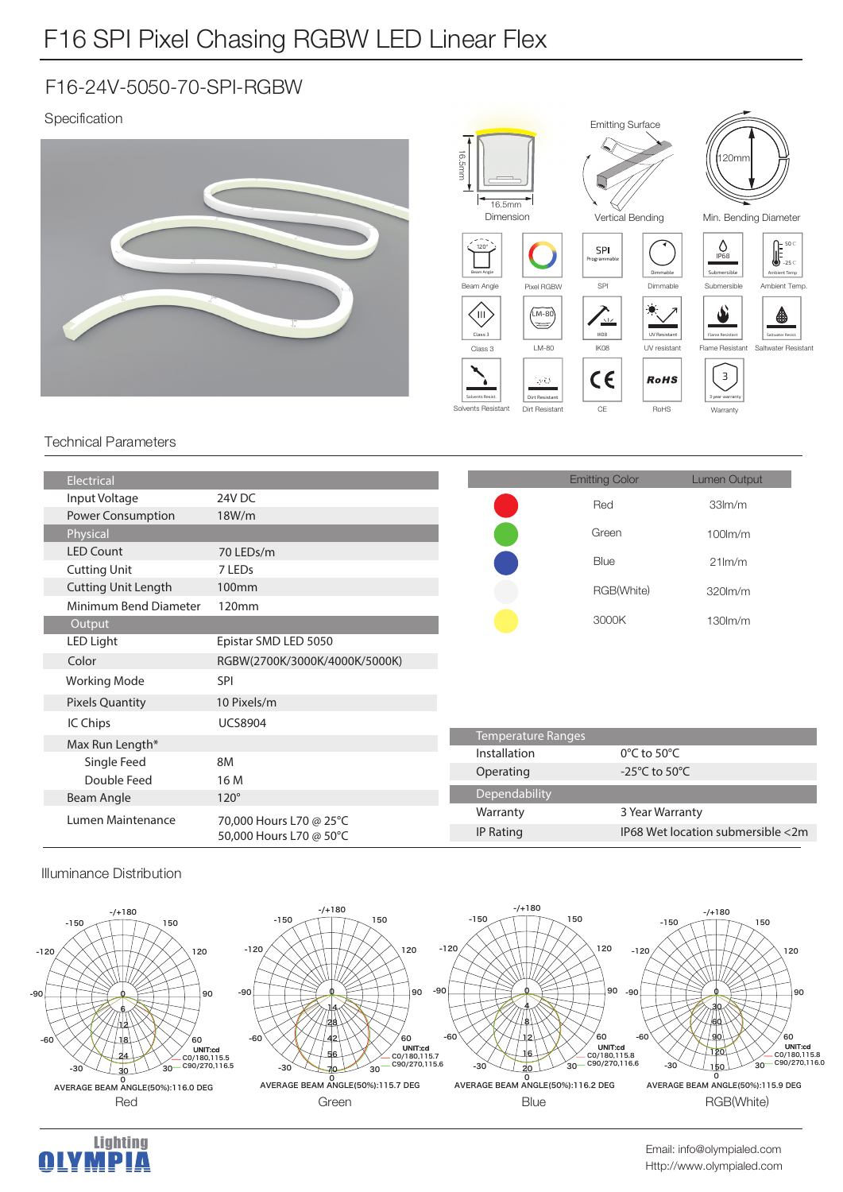## F16 SPI Pixel Chasing RGBW LED Linear Flex

### F16-24V-5050-70-SPI-RGBW

### Specification



#### Technical Parameters

| Electrical                 |                                                    |                           | <b>Emitting Color</b>               | <b>Lumen Output</b>               |
|----------------------------|----------------------------------------------------|---------------------------|-------------------------------------|-----------------------------------|
| Input Voltage              | 24V DC                                             |                           | Red                                 | 33 <sub>lm</sub> /m               |
| Power Consumption          | 18W/m                                              |                           |                                     |                                   |
| Physical                   |                                                    |                           | Green                               | $100$ m/m                         |
| <b>LED Count</b>           | 70 LEDs/m                                          |                           | Blue                                | $21$ lm/m                         |
| <b>Cutting Unit</b>        | 7 LED <sub>s</sub>                                 |                           |                                     |                                   |
| <b>Cutting Unit Length</b> | 100 <sub>mm</sub>                                  |                           | RGB(White)                          | 320lm/m                           |
| Minimum Bend Diameter      | 120mm                                              |                           |                                     |                                   |
| Output                     |                                                    |                           | 3000K                               | $130$ m/m                         |
| LED Light                  | Epistar SMD LED 5050                               |                           |                                     |                                   |
| Color                      | RGBW(2700K/3000K/4000K/5000K)                      |                           |                                     |                                   |
| <b>Working Mode</b>        | <b>SPI</b>                                         |                           |                                     |                                   |
| <b>Pixels Quantity</b>     | 10 Pixels/m                                        |                           |                                     |                                   |
| IC Chips                   | <b>UCS8904</b>                                     |                           |                                     |                                   |
| Max Run Length*            |                                                    | <b>Temperature Ranges</b> |                                     |                                   |
| Single Feed                | 8M                                                 | Installation              | $0^{\circ}$ C to 50 $^{\circ}$ C    |                                   |
| Double Feed                | 16 M                                               | Operating                 | -25 $^{\circ}$ C to 50 $^{\circ}$ C |                                   |
| Beam Angle                 | $120^\circ$                                        | Dependability             |                                     |                                   |
| Lumen Maintenance          | 70,000 Hours L70 @ 25°C<br>50,000 Hours L70 @ 50°C | Warranty                  | 3 Year Warranty                     |                                   |
|                            |                                                    | <b>IP Rating</b>          |                                     | IP68 Wet location submersible <2m |
|                            |                                                    |                           |                                     |                                   |

#### Illuminance Distribution